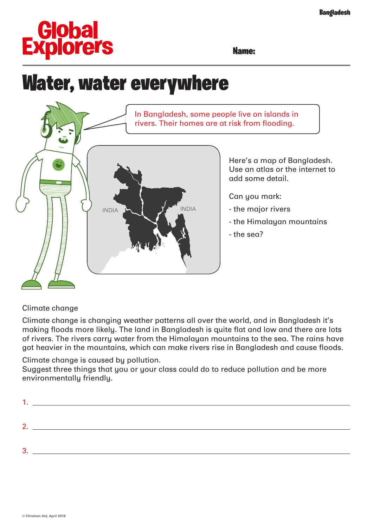# **Global<br>Explorers**

Name:

## Water, water everywhere



#### Climate change

Climate change is changing weather patterns all over the world, and in Bangladesh it's making floods more likely. The land in Bangladesh is quite flat and low and there are lots of rivers. The rivers carry water from the Himalayan mountains to the sea. The rains have got heavier in the mountains, which can make rivers rise in Bangladesh and cause floods.

Climate change is caused by pollution.

Suggest three things that you or your class could do to reduce pollution and be more environmentally friendly.

| ◠ |  |
|---|--|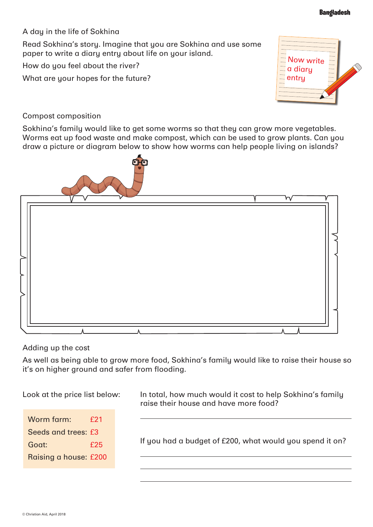A day in the life of Sokhina

Read Sokhina's story. Imagine that you are Sokhina and use some paper to write a diary entry about life on your island.

How do you feel about the river?

What are your hopes for the future?



#### Compost composition

Sokhina's family would like to get some worms so that they can grow more vegetables. Worms eat up food waste and make compost, which can be used to grow plants. Can you draw a picture or diagram below to show how worms can help people living on islands?



#### Adding up the cost

As well as being able to grow more food, Sokhina's family would like to raise their house so it's on higher ground and safer from flooding.

Look at the price list below:

| Worm farm:            | f21 |
|-----------------------|-----|
| Seeds and trees: £3   |     |
| Goat:                 | f25 |
| Raising a house: £200 |     |

In total, how much would it cost to help Sokhina's family raise their house and have more food?

If you had a budget of £200, what would you spend it on?